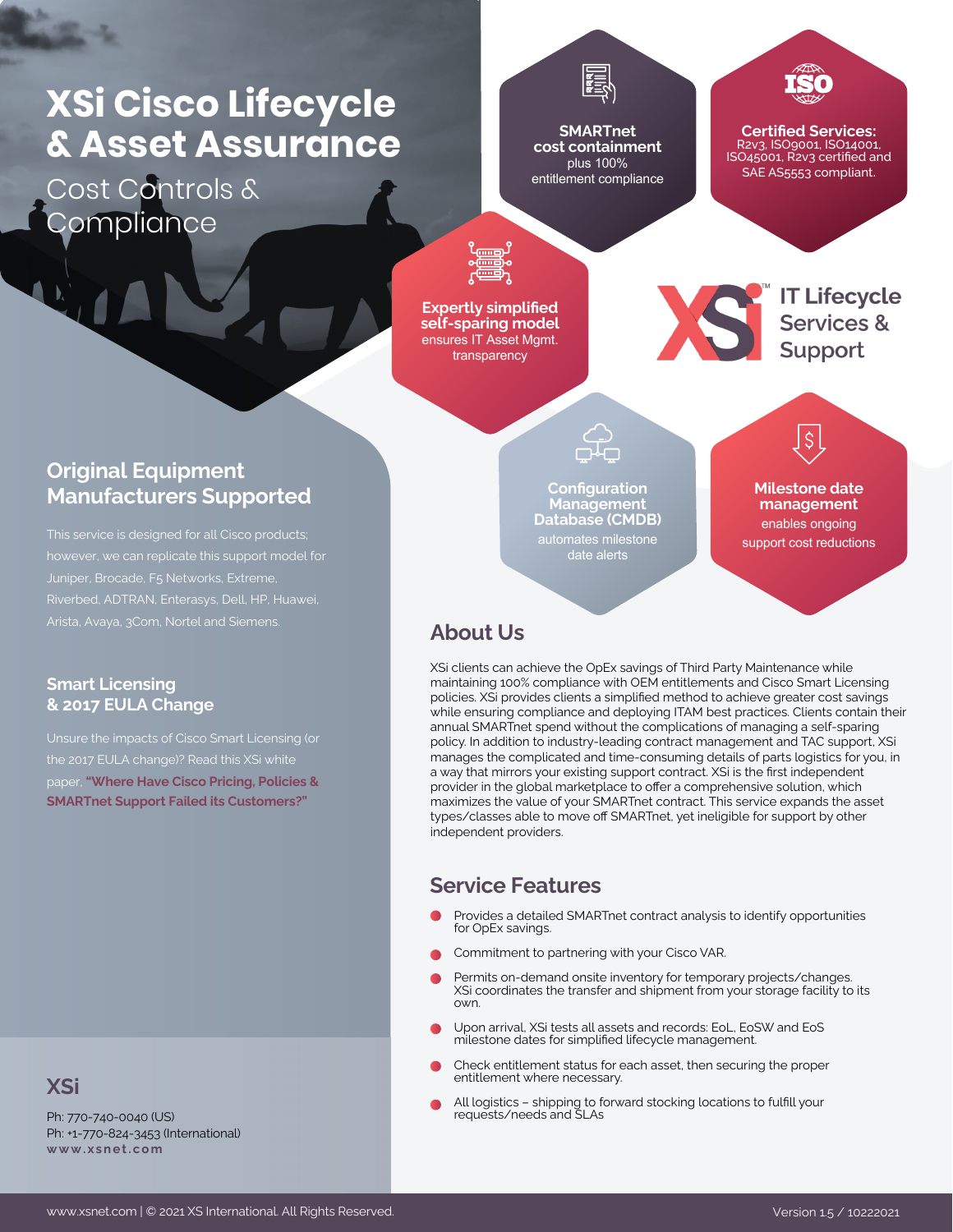# **XSi Cisco Lifecycle & Asset Assurance**

Cost Controls & **Compliance** 

**SMARTnet cost containment** plus 100% entitlement compliance

**Certified Services:** R2v3, ISO9001, ISO14001, ISO45001, R2v3 certified and SAE AS5553 compliant.

IT Lifecycle<br>Services &<br>Support

**Expertly simplified self-sparing model** ensures IT Asset Mgmt. transparency

### **Original Equipment Manufacturers Supported**

This service is designed for all Cisco products; however, we can replicate this support model for Juniper, Brocade, F5 Networks, Extreme,

#### **Smart Licensing & 2017 EULA Change**

the 2017 EULA change)? Read this XSi white paper, **["Where Have Cisco Pricing, Policies &](https://www.xsnet.com/whitepapers/) [SMARTnet Support Failed its Customers?"](https://www.xsnet.com/whitepapers/)**

#### **XSi**

Ph: 770-740-0040 (US) Ph: +1-770-824-3453 (International) **[www . x s n e t . c om](https://www.xsnet.com/)**

**Configuration Management Database (CMDB)** automates milestone date alerts

**Milestone date management** enables ongoing support cost reductions

 $\mathsf{S}$ 

#### **About Us**

XSi clients can achieve the OpEx savings of Third Party Maintenance while maintaining 100% compliance with OEM entitlements and Cisco Smart Licensing policies. XSi provides clients a simplified method to achieve greater cost savings while ensuring compliance and deploying ITAM best practices. Clients contain their annual SMARTnet spend without the complications of managing a self-sparing policy. In addition to industry-leading contract management and TAC support, XSi manages the complicated and time-consuming details of parts logistics for you, in a way that mirrors your existing support contract. XSi is the first independent provider in the global marketplace to offer a comprehensive solution, which maximizes the value of your SMARTnet contract. This service expands the asset types/classes able to move off SMARTnet, yet ineligible for support by other independent providers.

#### **Service Features**

- Provides a detailed SMARTnet contract analysis to identify opportunities for OpEx savings.
- Commitment to partnering with your Cisco VAR.
- Permits on-demand onsite inventory for temporary projects/changes. XSi coordinates the transfer and shipment from your storage facility to its own.
- Upon arrival, XSi tests all assets and records: EoL, EoSW and EoS milestone dates for simplified lifecycle management.
- Check entitlement status for each asset, then securing the proper entitlement where necessary.
- All logistics shipping to forward stocking locations to fulfill your requests/needs and SLAs